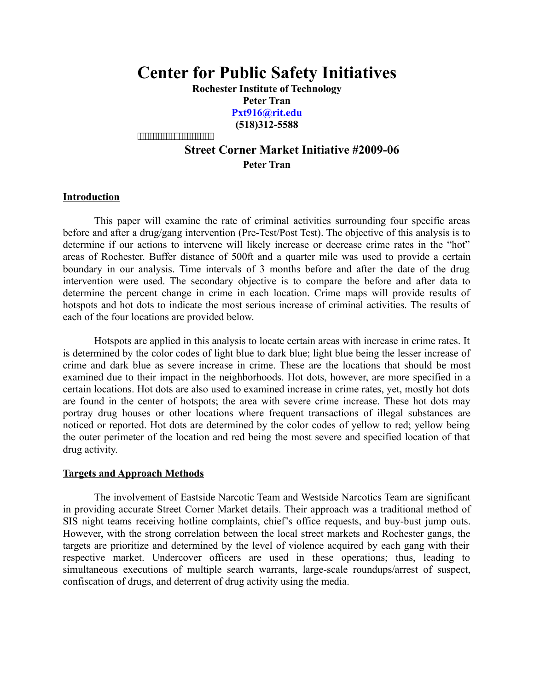# **Center for Public Safety Initiatives**

**Rochester Institute of Technology**

**Peter Tran [Pxt916@rit.edu](mailto:Pxt916@rit.edu)**

**(518)312-5588**

,,,,,,,,,,,,,,,,,,,,,,,,,,,,,

## **Street Corner Market Initiative #2009-06 Peter Tran**

### **Introduction**

This paper will examine the rate of criminal activities surrounding four specific areas before and after a drug/gang intervention (Pre-Test/Post Test). The objective of this analysis is to determine if our actions to intervene will likely increase or decrease crime rates in the "hot" areas of Rochester. Buffer distance of 500ft and a quarter mile was used to provide a certain boundary in our analysis. Time intervals of 3 months before and after the date of the drug intervention were used. The secondary objective is to compare the before and after data to determine the percent change in crime in each location. Crime maps will provide results of hotspots and hot dots to indicate the most serious increase of criminal activities. The results of each of the four locations are provided below.

Hotspots are applied in this analysis to locate certain areas with increase in crime rates. It is determined by the color codes of light blue to dark blue; light blue being the lesser increase of crime and dark blue as severe increase in crime. These are the locations that should be most examined due to their impact in the neighborhoods. Hot dots, however, are more specified in a certain locations. Hot dots are also used to examined increase in crime rates, yet, mostly hot dots are found in the center of hotspots; the area with severe crime increase. These hot dots may portray drug houses or other locations where frequent transactions of illegal substances are noticed or reported. Hot dots are determined by the color codes of yellow to red; yellow being the outer perimeter of the location and red being the most severe and specified location of that drug activity.

### **Targets and Approach Methods**

The involvement of Eastside Narcotic Team and Westside Narcotics Team are significant in providing accurate Street Corner Market details. Their approach was a traditional method of SIS night teams receiving hotline complaints, chief's office requests, and buy-bust jump outs. However, with the strong correlation between the local street markets and Rochester gangs, the targets are prioritize and determined by the level of violence acquired by each gang with their respective market. Undercover officers are used in these operations; thus, leading to simultaneous executions of multiple search warrants, large-scale roundups/arrest of suspect, confiscation of drugs, and deterrent of drug activity using the media.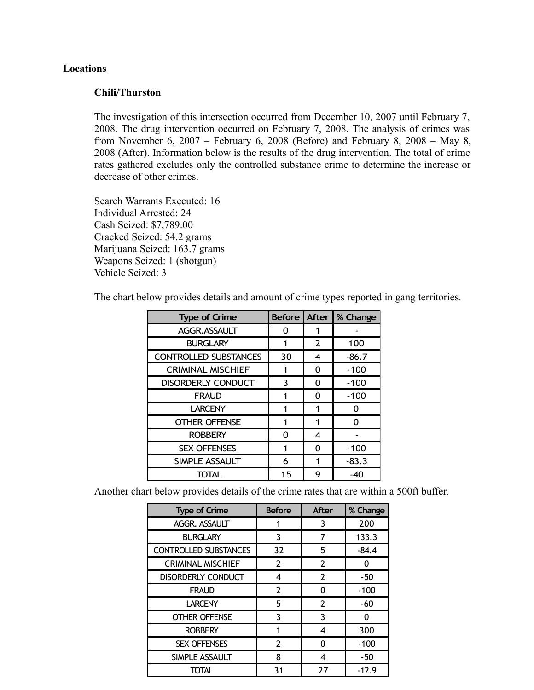### **Locations**

### **Chili/Thurston**

The investigation of this intersection occurred from December 10, 2007 until February 7, 2008. The drug intervention occurred on February 7, 2008. The analysis of crimes was from November 6, 2007 – February 6, 2008 (Before) and February 8, 2008 – May 8, 2008 (After). Information below is the results of the drug intervention. The total of crime rates gathered excludes only the controlled substance crime to determine the increase or decrease of other crimes.

Search Warrants Executed: 16 Individual Arrested: 24 Cash Seized: \$7,789.00 Cracked Seized: 54.2 grams Marijuana Seized: 163.7 grams Weapons Seized: 1 (shotgun) Vehicle Seized: 3

The chart below provides details and amount of crime types reported in gang territories.

| <b>Type of Crime</b>         | <b>Before</b> | After    | % Change |
|------------------------------|---------------|----------|----------|
| AGGR.ASSAULT                 | Ω             |          |          |
| <b>BURGLARY</b>              |               | 2        | 100      |
| <b>CONTROLLED SUBSTANCES</b> | 30            | 4        | $-86.7$  |
| <b>CRIMINAL MISCHIEF</b>     | 1             | 0        | $-100$   |
| <b>DISORDERLY CONDUCT</b>    | 3             | 0        | $-100$   |
| <b>FRAUD</b>                 |               | O        | $-100$   |
| <b>LARCENY</b>               |               |          |          |
| <b>OTHER OFFENSE</b>         |               |          | 0        |
| <b>ROBBERY</b>               | O             | 4        |          |
| <b>SEX OFFENSES</b>          | 1             | $\Omega$ | $-100$   |
| SIMPLE ASSAULT               | 6             |          | $-83.3$  |
| TOTAL                        | 15            | 9        | -40      |

Another chart below provides details of the crime rates that are within a 500ft buffer.

| <b>Type of Crime</b>         | <b>Before</b>  | <b>After</b>   | % Change |
|------------------------------|----------------|----------------|----------|
| AGGR. ASSAULT                |                | 3              | 200      |
| <b>BURGLARY</b>              | 3              | 7              | 133.3    |
| <b>CONTROLLED SUBSTANCES</b> | 32             | 5              | $-84.4$  |
| <b>CRIMINAL MISCHIEF</b>     | 2              | 2              | 0        |
| DISORDERLY CONDUCT           | 4              | 2              | -50      |
| <b>FRAUD</b>                 | $\overline{2}$ | 0              | $-100$   |
| <b>LARCENY</b>               | 5              | $\overline{2}$ | $-60$    |
| <b>OTHER OFFENSE</b>         | 3              | 3              | ŋ        |
| <b>ROBBERY</b>               |                | 4              | 300      |
| <b>SEX OFFENSES</b>          | $\overline{2}$ | ŋ              | $-100$   |
| SIMPLE ASSAULT               | 8              | 4              | $-50$    |
| <b>TOTAL</b>                 | 31             | 27             | $-12.9$  |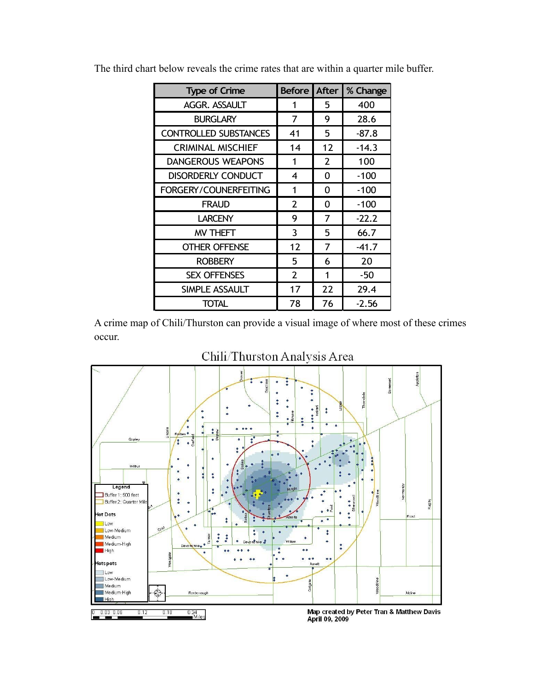| <b>Type of Crime</b>         | <b>Before</b> | <b>After</b>   | % Change |
|------------------------------|---------------|----------------|----------|
| <b>AGGR. ASSAULT</b>         | 1             | 5              | 400      |
| <b>BURGLARY</b>              | 7             | 9              | 28.6     |
| <b>CONTROLLED SUBSTANCES</b> | 41            | 5              | $-87.8$  |
| <b>CRIMINAL MISCHIEF</b>     | 14            | 12             | $-14.3$  |
| <b>DANGEROUS WEAPONS</b>     | 1             | $\overline{2}$ | 100      |
| DISORDERLY CONDUCT           | 4             | 0              | $-100$   |
| FORGERY/COUNERFEITING        | 1             | 0              | $-100$   |
| <b>FRAUD</b>                 | 2             | 0              | $-100$   |
| <b>LARCENY</b>               | 9             | 7              | $-22.2$  |
| <b>MV THEFT</b>              | 3             | 5              | 66.7     |
| <b>OTHER OFFENSE</b>         | 12            | $\overline{7}$ | $-41.7$  |
| <b>ROBBERY</b>               | 5             | 6              | 20       |
| <b>SEX OFFENSES</b>          | 2             | 1              | -50      |
| SIMPLE ASSAULT               | 17            | 22             | 29.4     |
| <b>TOTAL</b>                 | 78            | 76             | $-2.56$  |

The third chart below reveals the crime rates that are within a quarter mile buffer.

A crime map of Chili/Thurston can provide a visual image of where most of these crimes occur.



# Chili/Thurston Analysis Area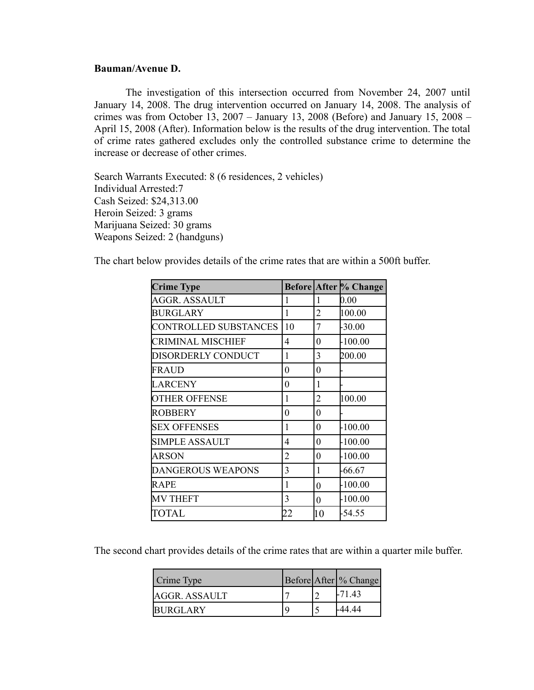### **Bauman/Avenue D.**

The investigation of this intersection occurred from November 24, 2007 until January 14, 2008. The drug intervention occurred on January 14, 2008. The analysis of crimes was from October 13, 2007 – January 13, 2008 (Before) and January 15, 2008 – April 15, 2008 (After). Information below is the results of the drug intervention. The total of crime rates gathered excludes only the controlled substance crime to determine the increase or decrease of other crimes.

Search Warrants Executed: 8 (6 residences, 2 vehicles) Individual Arrested:7 Cash Seized: \$24,313.00 Heroin Seized: 3 grams Marijuana Seized: 30 grams Weapons Seized: 2 (handguns)

The chart below provides details of the crime rates that are within a 500ft buffer.

| <b>Crime Type</b>         |                |                  | <b>Before After % Change</b> |
|---------------------------|----------------|------------------|------------------------------|
| <b>AGGR. ASSAULT</b>      | 1              | 1                | 0.00                         |
| <b>BURGLARY</b>           | 1              | $\overline{2}$   | 100.00                       |
| CONTROLLED SUBSTANCES     | 10             | 7                | $-30.00$                     |
| <b>CRIMINAL MISCHIEF</b>  | 4              | 0                | $-100.00$                    |
| <b>DISORDERLY CONDUCT</b> | 1              | 3                | 200.00                       |
| FRAUD                     | 0              | $\boldsymbol{0}$ |                              |
| <b>LARCENY</b>            | 0              | 1                |                              |
| <b>OTHER OFFENSE</b>      | 1              | 2                | 100.00                       |
| ROBBERY                   | 0              | 0                |                              |
| <b>SEX OFFENSES</b>       | 1              | 0                | $-100.00$                    |
| SIMPLE ASSAULT            | 4              | 0                | $-100.00$                    |
| ARSON                     | $\overline{2}$ | 0                | $-100.00$                    |
| <b>DANGEROUS WEAPONS</b>  | 3              | 1                | -66.67                       |
| RAPE                      | 1              | 0                | $-100.00$                    |
| <b>MV THEFT</b>           | 3              | 0                | $-100.00$                    |
| TOTAL                     | 22             | 10               | -54.55                       |

The second chart provides details of the crime rates that are within a quarter mile buffer.

| Crime Type      |  | Before After   % Change |
|-----------------|--|-------------------------|
| AGGR. ASSAULT   |  | L71 43                  |
| <b>BURGLARY</b> |  |                         |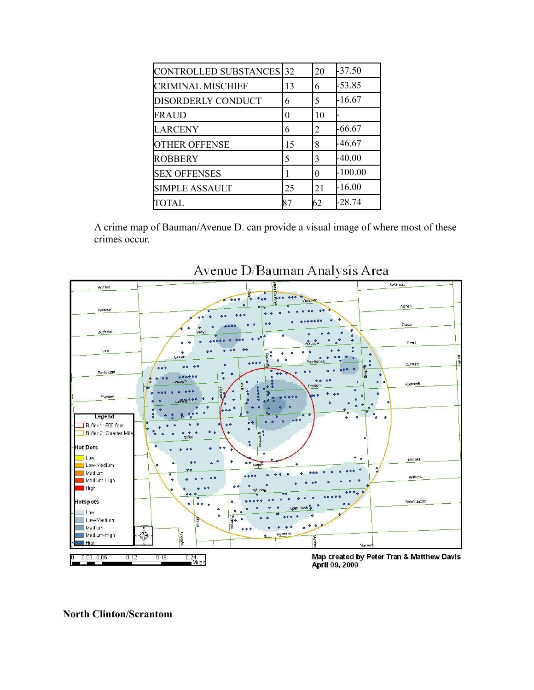| CONTROLLED SUBSTANCES 32  |    | 20       | $-37.50$  |
|---------------------------|----|----------|-----------|
| <b>CRIMINAL MISCHIEF</b>  | 13 | 6        | $-53.85$  |
| <b>DISORDERLY CONDUCT</b> | 6  | 5        | -16.67    |
| <b>FRAUD</b>              | 0  | 10       |           |
| <b>LARCENY</b>            | 6  | 2        | -66.67    |
| <b>OTHER OFFENSE</b>      | 15 | 8        | -46.67    |
| <b>ROBBERY</b>            | 5  | 3        | $-40.00$  |
| <b>SEX OFFENSES</b>       |    | $\theta$ | $-100.00$ |
| <b>SIMPLE ASSAULT</b>     | 25 | 21       | $-16.00$  |
| TOTAL                     | 87 | 62       | -28.74    |

A crime map of Bauman/Avenue D. can provide a visual image of where most of these crimes occur.



Avenue D/Bauman Analysis Area

**North Clinton/Scrantom**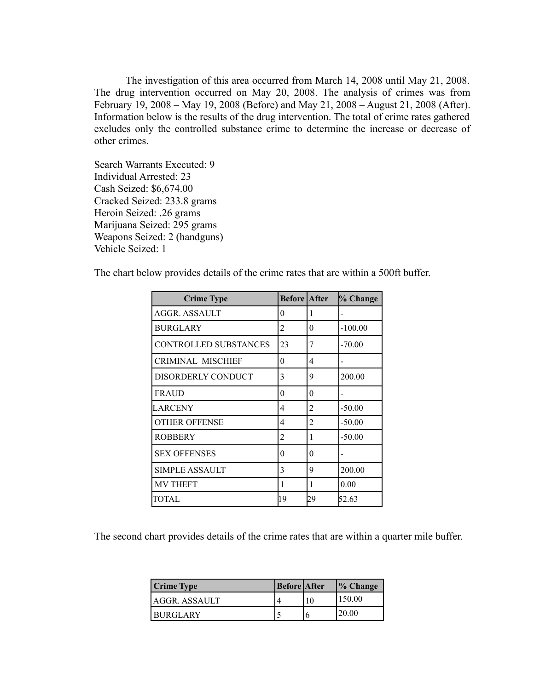The investigation of this area occurred from March 14, 2008 until May 21, 2008. The drug intervention occurred on May 20, 2008. The analysis of crimes was from February 19, 2008 – May 19, 2008 (Before) and May 21, 2008 – August 21, 2008 (After). Information below is the results of the drug intervention. The total of crime rates gathered excludes only the controlled substance crime to determine the increase or decrease of other crimes.

Search Warrants Executed: 9 Individual Arrested: 23 Cash Seized: \$6,674.00 Cracked Seized: 233.8 grams Heroin Seized: .26 grams Marijuana Seized: 295 grams Weapons Seized: 2 (handguns) Vehicle Seized: 1

The chart below provides details of the crime rates that are within a 500ft buffer.

| <b>Crime Type</b>            | <b>Before After</b> |                | % Change  |
|------------------------------|---------------------|----------------|-----------|
| AGGR. ASSAULT                | $\theta$            | 1              |           |
| <b>BURGLARY</b>              | $\overline{c}$      | $\Omega$       | $-100.00$ |
| <b>CONTROLLED SUBSTANCES</b> | 23                  | 7              | $-70.00$  |
| <b>CRIMINAL MISCHIEF</b>     | $\theta$            | 4              |           |
| DISORDERLY CONDUCT           | 3                   | 9              | 200.00    |
| <b>FRAUD</b>                 | $\Omega$            | $\Omega$       |           |
| LARCENY                      | $\overline{4}$      | $\overline{2}$ | $-50.00$  |
| <b>OTHER OFFENSE</b>         | 4                   | 2              | $-50.00$  |
| <b>ROBBERY</b>               | $\mathfrak{D}$      | 1              | $-50.00$  |
| <b>SEX OFFENSES</b>          | $\theta$            | $\theta$       |           |
| <b>SIMPLE ASSAULT</b>        | 3                   | 9              | 200.00    |
| <b>MV THEFT</b>              | 1                   | 1              | 0.00      |
| TOTAL                        | 19                  | 29             | 52.63     |

The second chart provides details of the crime rates that are within a quarter mile buffer.

| <b>Crime Type</b> | <b>Before After</b> |    | $\%$ Change |
|-------------------|---------------------|----|-------------|
| AGGR. ASSAULT     |                     | 10 | 150.00      |
| <b>IBURGLARY</b>  |                     |    | 20.00       |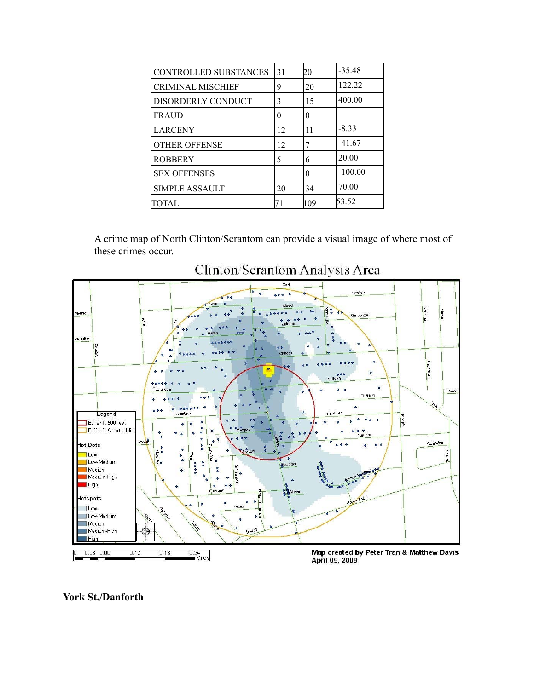| <b>CONTROLLED SUBSTANCES</b> | 31 | 20       | $-35.48$  |
|------------------------------|----|----------|-----------|
| <b>CRIMINAL MISCHIEF</b>     | 9  | 20       | 122.22    |
| DISORDERLY CONDUCT           | 3  | 15       | 400.00    |
| <b>FRAUD</b>                 | 0  | $\theta$ |           |
| <b>LARCENY</b>               | 12 | 11       | $-8.33$   |
| <b>OTHER OFFENSE</b>         | 12 | 7        | $-41.67$  |
| <b>ROBBERY</b>               | 5  | 6        | 20.00     |
| <b>SEX OFFENSES</b>          | ı  | $\theta$ | $-100.00$ |
| <b>SIMPLE ASSAULT</b>        | 20 | 34       | 70.00     |
| TOTAL.                       |    | 109      | 53.52     |

A crime map of North Clinton/Scrantom can provide a visual image of where most of these crimes occur.



Clinton/Scrantom Analysis Area

### **York St./Danforth**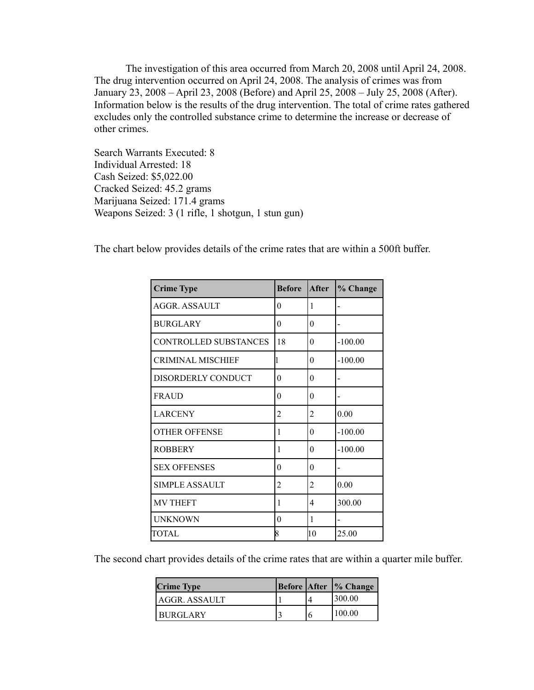The investigation of this area occurred from March 20, 2008 until April 24, 2008. The drug intervention occurred on April 24, 2008. The analysis of crimes was from January 23, 2008 – April 23, 2008 (Before) and April 25, 2008 – July 25, 2008 (After). Information below is the results of the drug intervention. The total of crime rates gathered excludes only the controlled substance crime to determine the increase or decrease of other crimes.

Search Warrants Executed: 8 Individual Arrested: 18 Cash Seized: \$5,022.00 Cracked Seized: 45.2 grams Marijuana Seized: 171.4 grams Weapons Seized: 3 (1 rifle, 1 shotgun, 1 stun gun)

The chart below provides details of the crime rates that are within a 500ft buffer.

| <b>Crime Type</b>            | <b>Before</b> | <b>After</b>   | % Change  |
|------------------------------|---------------|----------------|-----------|
| <b>AGGR. ASSAULT</b>         | $\theta$      | 1              |           |
| <b>BURGLARY</b>              | 0             | 0              |           |
| <b>CONTROLLED SUBSTANCES</b> | 18            | $\theta$       | $-100.00$ |
| <b>CRIMINAL MISCHIEF</b>     |               | 0              | $-100.00$ |
| DISORDERLY CONDUCT           | $\theta$      | $\theta$       |           |
| <b>FRAUD</b>                 | 0             | 0              |           |
| <b>LARCENY</b>               | 2             | 2              | 0.00      |
| <b>OTHER OFFENSE</b>         | 1             | $\theta$       | $-100.00$ |
| <b>ROBBERY</b>               | 1             | $\Omega$       | $-100.00$ |
| <b>SEX OFFENSES</b>          | $\theta$      | $\theta$       |           |
| <b>SIMPLE ASSAULT</b>        | 2             | $\overline{2}$ | 0.00      |
| <b>MV THEFT</b>              | 1             | 4              | 300.00    |
| <b>UNKNOWN</b>               | 0             | $\mathbf{1}$   |           |
| TOTAL                        | 18            | 10             | 25.00     |

The second chart provides details of the crime rates that are within a quarter mile buffer.

| <b>Crime Type</b> |  | Before After 1% Change |
|-------------------|--|------------------------|
| AGGR ASSAULT      |  | 1300.00                |
| <b>BURGLARY</b>   |  | 100.00                 |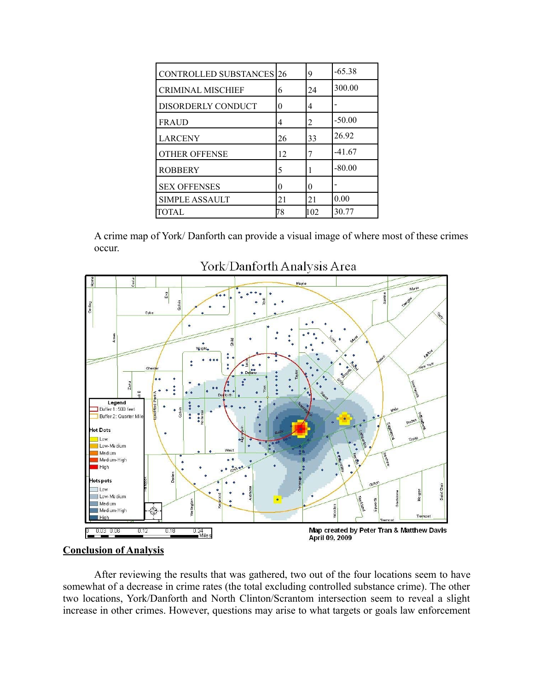| <b>CONTROLLED SUBSTANCES 26</b> |    | 9   | $-65.38$ |
|---------------------------------|----|-----|----------|
| <b>CRIMINAL MISCHIEF</b>        | 6  | 24  | 300.00   |
| DISORDERLY CONDUCT              | 0  | 4   |          |
| FRAUD                           | 4  | 2   | $-50.00$ |
| <b>LARCENY</b>                  | 26 | 33  | 26.92    |
| <b>OTHER OFFENSE</b>            | 12 | 7   | $-41.67$ |
| <b>ROBBERY</b>                  | 5  | 1   | $-80.00$ |
| <b>SEX OFFENSES</b>             | 0  | 0   |          |
| <b>SIMPLE ASSAULT</b>           | 21 | 21  | 0.00     |
| TOTAL                           | 78 | 102 | 30.77    |

A crime map of York/ Danforth can provide a visual image of where most of these crimes occur.



## York/Danforth Analysis Area

### **Conclusion of Analysis**

After reviewing the results that was gathered, two out of the four locations seem to have somewhat of a decrease in crime rates (the total excluding controlled substance crime). The other two locations, York/Danforth and North Clinton/Scrantom intersection seem to reveal a slight increase in other crimes. However, questions may arise to what targets or goals law enforcement